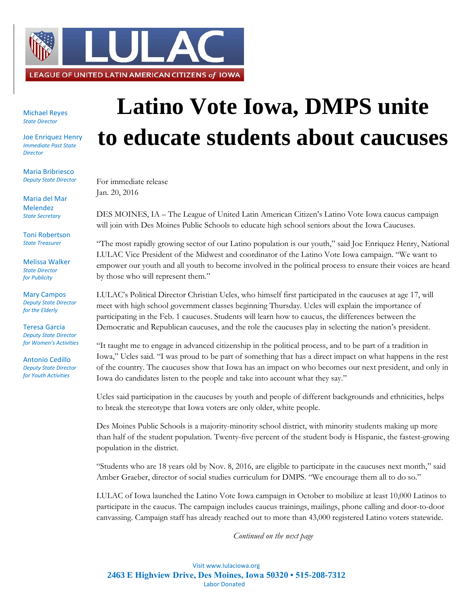

Michael Reyes *State Director*

Joe Enriquez Henry *Immediate Past State Director*

Maria Bribriesco *Deputy State Director*

Maria del Mar Melendez *State Secretary*

Toni Robertson *State Treasurer*

Melissa Walker *State Director for Publicity*

Mary Campos *Deputy State Director for the Elderly*

Teresa Garcia *Deputy State Director for Women's Activities*

Antonio Cedillo *Deputy State Director for Youth Activities*

## **Latino Vote Iowa, DMPS unite to educate students about caucuses**

For immediate release Jan. 20, 2016

DES MOINES, IA – The League of United Latin American Citizen's Latino Vote Iowa caucus campaign will join with Des Moines Public Schools to educate high school seniors about the Iowa Caucuses.

"The most rapidly growing sector of our Latino population is our youth," said Joe Enriquez Henry, National LULAC Vice President of the Midwest and coordinator of the Latino Vote Iowa campaign. "We want to empower our youth and all youth to become involved in the political process to ensure their voices are heard by those who will represent them."

LULAC's Political Director Christian Ucles, who himself first participated in the caucuses at age 17, will meet with high school government classes beginning Thursday. Ucles will explain the importance of participating in the Feb. 1 caucuses. Students will learn how to caucus, the differences between the Democratic and Republican caucuses, and the role the caucuses play in selecting the nation's president.

"It taught me to engage in advanced citizenship in the political process, and to be part of a tradition in Iowa," Ucles said. "I was proud to be part of something that has a direct impact on what happens in the rest of the country. The caucuses show that Iowa has an impact on who becomes our next president, and only in Iowa do candidates listen to the people and take into account what they say."

Ucles said participation in the caucuses by youth and people of different backgrounds and ethnicities, helps to break the stereotype that Iowa voters are only older, white people.

Des Moines Public Schools is a majority-minority school district, with minority students making up more than half of the student population. Twenty-five percent of the student body is Hispanic, the fastest-growing population in the district.

"Students who are 18 years old by Nov. 8, 2016, are eligible to participate in the caucuses next month," said Amber Graeber, director of social studies curriculum for DMPS. "We encourage them all to do so."

LULAC of Iowa launched the Latino Vote Iowa campaign in October to mobilize at least 10,000 Latinos to participate in the caucus. The campaign includes caucus trainings, mailings, phone calling and door-to-door canvassing. Campaign staff has already reached out to more than 43,000 registered Latino voters statewide.

*Continued on the next page*